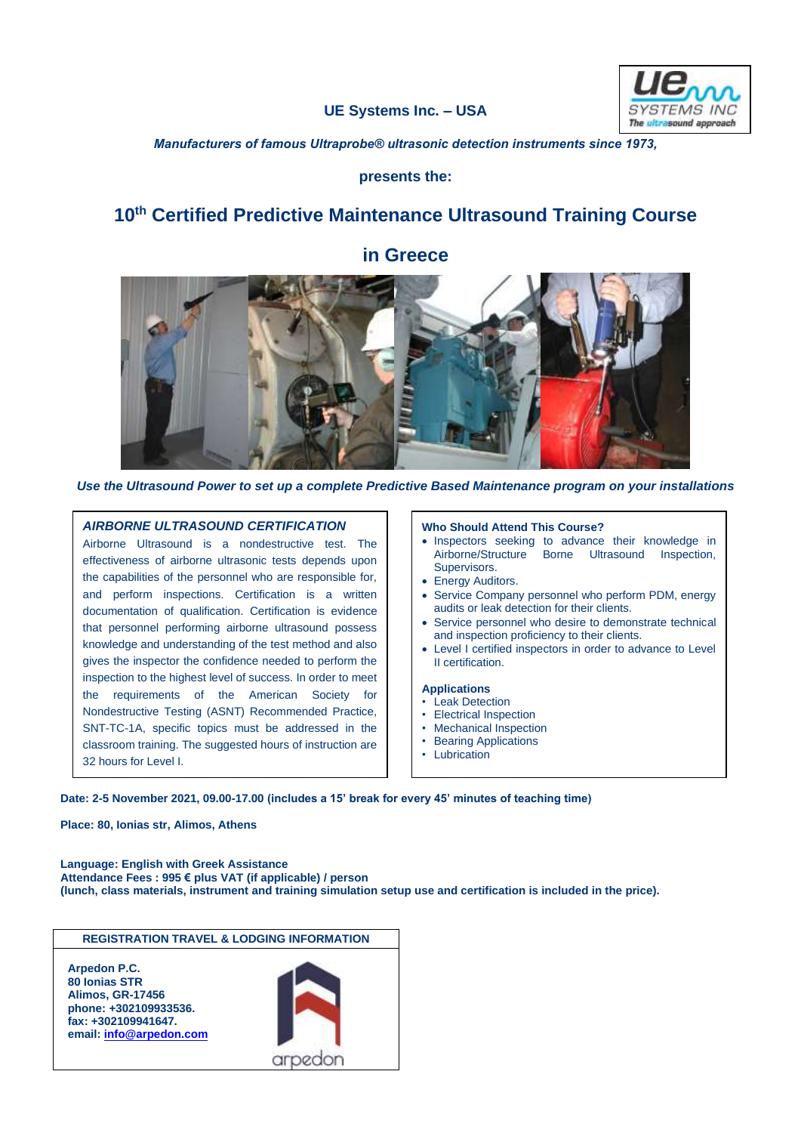# **UE Systems Inc. – USA**



*Manufacturers of famous Ultraprobe® ultrasonic detection instruments since 1973,*

## **presents the:**

# **10th Certified Predictive Maintenance Ultrasound Training Course**



*Use the Ultrasound Power to set up a complete Predictive Based Maintenance program on your installations*

#### *AIRBORNE ULTRASOUND CERTIFICATION*

Airborne Ultrasound is a nondestructive test. The effectiveness of airborne ultrasonic tests depends upon the capabilities of the personnel who are responsible for, and perform inspections. Certification is a written documentation of qualification. Certification is evidence that personnel performing airborne ultrasound possess knowledge and understanding of the test method and also gives the inspector the confidence needed to perform the inspection to the highest level of success. In order to meet the requirements of the American Society for Nondestructive Testing (ASNT) Recommended Practice, SNT-TC-1A, specific topics must be addressed in the classroom training. The suggested hours of instruction are 32 hours for Level I.

#### **Who Should Attend This Course?**

- Inspectors seeking to advance their knowledge in Airborne/Structure Borne Ultrasound Inspection, Supervisors.
- Energy Auditors.
- Service Company personnel who perform PDM, energy audits or leak detection for their clients.
- Service personnel who desire to demonstrate technical and inspection proficiency to their clients.
- Level I certified inspectors in order to advance to Level II certification.

#### **Applications**

- Leak Detection
- **Electrical Inspection**
- Mechanical Inspection
- Bearing Applications
- **Lubrication**

#### **Date: 2-5 November 2021, 09.00-17.00 (includes a 15' break for every 45' minutes of teaching time)**

**Place: 80, Ionias str, Alimos, Athens**

**Language: English with Greek Assistance Attendance Fees : 995 € plus VAT (if applicable) / person (lunch, class materials, instrument and training simulation setup use and certification is included in the price).**



### **in Greece**